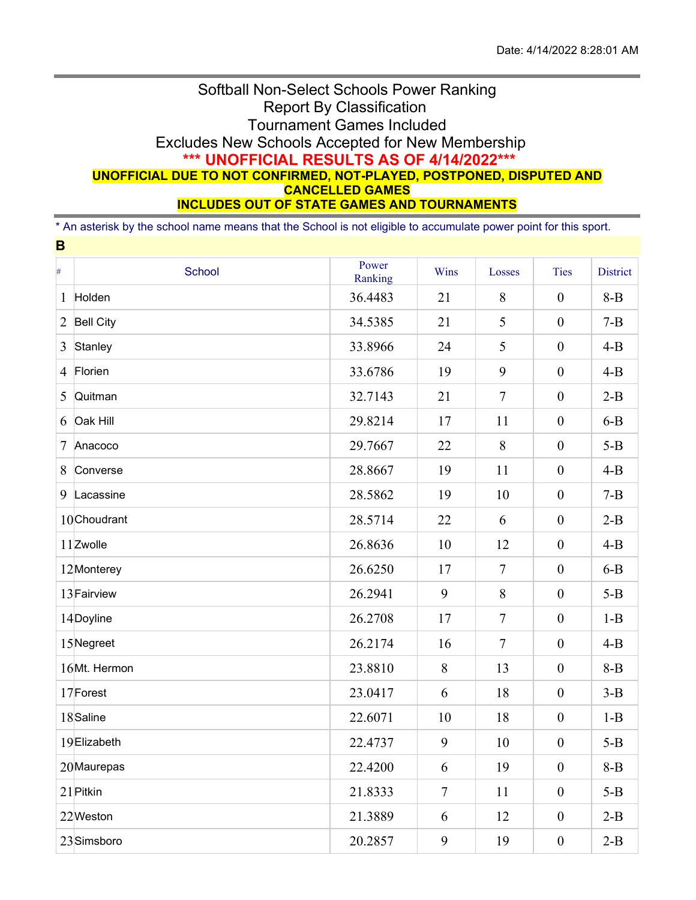## Softball Non-Select Schools Power Ranking Report By Classification Tournament Games Included Excludes New Schools Accepted for New Membership **\*\*\* UNOFFICIAL RESULTS AS OF 4/14/2022\*\*\* UNOFFICIAL DUE TO NOT CONFIRMED, NOT-PLAYED, POSTPONED, DISPUTED AND CANCELLED GAMES INCLUDES OUT OF STATE GAMES AND TOURNAMENTS**

\* An asterisk by the school name means that the School is not eligible to accumulate power point for this sport.

**B**

| $\#$           | <b>School</b>    | Power<br>Ranking | Wins   | Losses         | <b>Ties</b>      | <b>District</b> |
|----------------|------------------|------------------|--------|----------------|------------------|-----------------|
| 1              | Holden           | 36.4483          | 21     | 8              | $\boldsymbol{0}$ | $8-B$           |
| $\overline{2}$ | <b>Bell City</b> | 34.5385          | 21     | 5              | $\boldsymbol{0}$ | $7 - B$         |
| 3              | Stanley          | 33.8966          | 24     | 5              | $\mathbf{0}$     | $4 - B$         |
| $\overline{4}$ | Florien          | 33.6786          | 19     | 9              | $\boldsymbol{0}$ | $4-B$           |
| 5              | Quitman          | 32.7143          | 21     | $\overline{7}$ | $\boldsymbol{0}$ | $2-B$           |
| 6              | Oak Hill         | 29.8214          | 17     | 11             | $\boldsymbol{0}$ | $6-B$           |
| 7              | Anacoco          | 29.7667          | 22     | 8              | $\boldsymbol{0}$ | $5-B$           |
| 8              | Converse         | 28.8667          | 19     | 11             | $\boldsymbol{0}$ | $4 - B$         |
| 9              | Lacassine        | 28.5862          | 19     | 10             | $\boldsymbol{0}$ | $7 - B$         |
|                | 10Choudrant      | 28.5714          | 22     | 6              | $\boldsymbol{0}$ | $2-B$           |
|                | 11 Zwolle        | 26.8636          | 10     | 12             | $\mathbf{0}$     | $4 - B$         |
|                | 12Monterey       | 26.6250          | 17     | $\overline{7}$ | $\boldsymbol{0}$ | $6-B$           |
|                | 13 Fairview      | 26.2941          | 9      | 8              | $\boldsymbol{0}$ | $5-B$           |
|                | 14Doyline        | 26.2708          | 17     | $\overline{7}$ | $\boldsymbol{0}$ | $1 - B$         |
|                | 15Negreet        | 26.2174          | 16     | $\overline{7}$ | $\boldsymbol{0}$ | $4-B$           |
|                | 16Mt. Hermon     | 23.8810          | 8      | 13             | $\boldsymbol{0}$ | $8 - B$         |
|                | 17Forest         | 23.0417          | 6      | 18             | $\boldsymbol{0}$ | $3-B$           |
|                | 18Saline         | 22.6071          | 10     | 18             | $\boldsymbol{0}$ | $1 - B$         |
|                | 19Elizabeth      | 22.4737          | 9      | 10             | $\boldsymbol{0}$ | $5-B$           |
|                | 20 Maurepas      | 22.4200          | 6      | 19             | $\boldsymbol{0}$ | $8 - B$         |
|                | 21 Pitkin        | 21.8333          | $\tau$ | 11             | $\mathbf{0}$     | $5 - B$         |
|                | 22Weston         | 21.3889          | 6      | 12             | $\mathbf{0}$     | $2-B$           |
|                | 23Simsboro       | 20.2857          | 9      | 19             | $\overline{0}$   | $2-B$           |